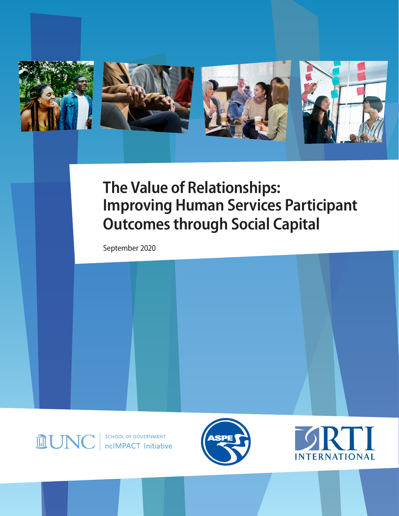

# **The Value of Relationships: Improving Human Services Participant Outcomes through Social Capital**

September 2020

**MUN** 

SCHOOL OF GOVERNMENT ncIMPACT Initiative



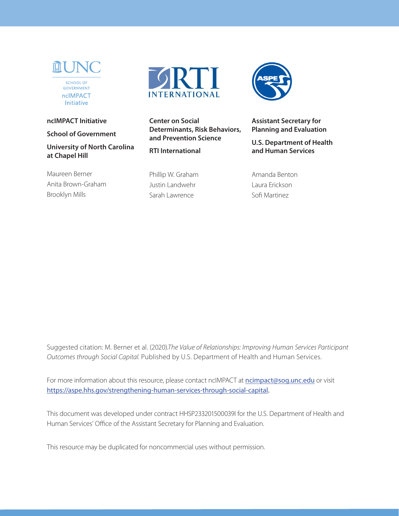

#### **ncIMPACT Initiative**

**School of Government**

**University of North Carolina at Chapel Hill**

Maureen Berner Anita Brown-Graham Brooklyn Mills



**Center on Social Determinants, Risk Behaviors, and Prevention Science**

**RTI International**

Phillip W. Graham Justin Landwehr Sarah Lawrence



**Assistant Secretary for Planning and Evaluation**

**U.S. Department of Health and Human Services**

Amanda Benton Laura Erickson Sofi Martinez

Suggested citation: M. Berner et al. (2020).*The Value of Relationships: Improving Human Services Participant Outcomes through Social Capital.* Published by U.S. Department of Health and Human Services.

For more information about this resource, please contact nclMPACT at [ncimpact@sog.unc.edu](mailto:ncimpact@sog.unc.edu) or visit <https://aspe.hhs.gov/strengthening-human-services-through-social-capital>.

This document was developed under contract HHSP233201500039I for the U.S. Department of Health and Human Services' Office of the Assistant Secretary for Planning and Evaluation.

This resource may be duplicated for noncommercial uses without permission.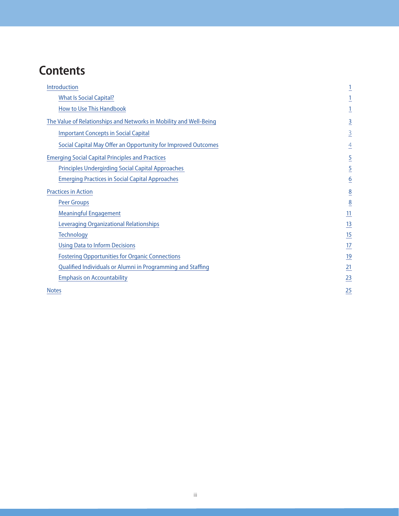# **Contents**

| Introduction                                                       | $\overline{1}$  |
|--------------------------------------------------------------------|-----------------|
| <b>What Is Social Capital?</b>                                     |                 |
| <b>How to Use This Handbook</b>                                    |                 |
| The Value of Relationships and Networks in Mobility and Well-Being | $\overline{3}$  |
| <b>Important Concepts in Social Capital</b>                        | $\overline{3}$  |
| Social Capital May Offer an Opportunity for Improved Outcomes      | $\overline{4}$  |
| <b>Emerging Social Capital Principles and Practices</b>            | $\overline{5}$  |
| <b>Principles Undergirding Social Capital Approaches</b>           | $\overline{5}$  |
| <b>Emerging Practices in Social Capital Approaches</b>             | $\underline{6}$ |
| <b>Practices in Action</b>                                         | $\underline{8}$ |
| <b>Peer Groups</b>                                                 | $\overline{8}$  |
| <b>Meaningful Engagement</b>                                       | $\overline{11}$ |
| Leveraging Organizational Relationships                            | 13              |
| <b>Technology</b>                                                  | 15              |
| <b>Using Data to Inform Decisions</b>                              | 17              |
| <b>Fostering Opportunities for Organic Connections</b>             | 19              |
| Qualified Individuals or Alumni in Programming and Staffing        | 21              |
| <b>Emphasis on Accountability</b>                                  | 23              |
| <b>Notes</b>                                                       | 25              |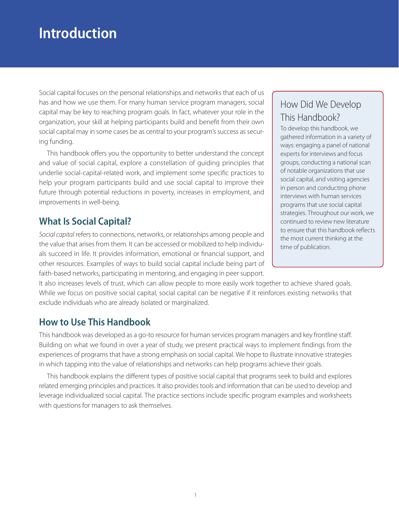# <span id="page-3-0"></span>**Introduction**

Social capital focuses on the personal relationships and networks that each of us has and how we use them. For many human service program managers, social capital may be key to reaching program goals. In fact, whatever your role in the organization, your skill at helping participants build and benefit from their own social capital may in some cases be as central to your program's success as securing funding.

This handbook offers you the opportunity to better understand the concept and value of social capital, explore a constellation of guiding principles that underlie social-capital-related work, and implement some specific practices to help your program participants build and use social capital to improve their future through potential reductions in poverty, increases in employment, and improvements in well-being.

# <span id="page-3-1"></span>**What Is Social Capital?**

*Social capital* refers to connections, networks, or relationships among people and the value that arises from them. It can be accessed or mobilized to help individuals succeed in life. It provides information, emotional or financial support, and other resources. Examples of ways to build social capital include being part of faith-based networks, participating in mentoring, and engaging in peer support.

It also increases levels of trust, which can allow people to more easily work together to achieve shared goals. While we focus on positive social capital, social capital can be negative if it reinforces existing networks that exclude individuals who are already isolated or marginalized.

## <span id="page-3-2"></span>**How to Use This Handbook**

This handbook was developed as a go-to resource for human services program managers and key frontline staff. Building on what we found in over a year of study, we present practical ways to implement findings from the experiences of programs that have a strong emphasis on social capital. We hope to illustrate innovative strategies in which tapping into the value of relationships and networks can help programs achieve their goals.

This handbook explains the different types of positive social capital that programs seek to build and explores related emerging principles and practices. It also provides tools and information that can be used to develop and leverage individualized social capital. The practice sections include specific program examples and worksheets with questions for managers to ask themselves.

# How Did We Develop This Handbook?

To develop this handbook, we gathered information in a variety of ways: engaging a panel of national experts for interviews and focus groups, conducting a national scan of notable organizations that use social capital, and visiting agencies in person and conducting phone interviews with human services programs that use social capital strategies. Throughout our work, we continued to review new literature to ensure that this handbook reflects the most current thinking at the time of publication.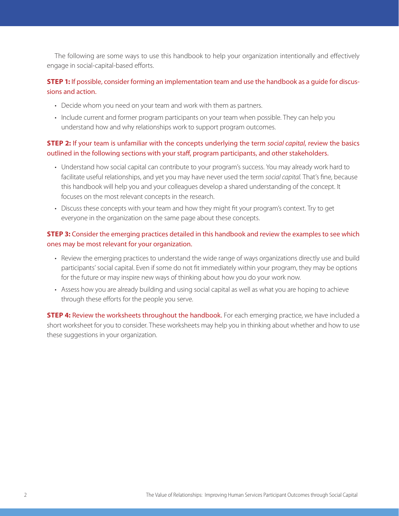The following are some ways to use this handbook to help your organization intentionally and effectively engage in social-capital-based efforts.

#### **STEP 1:** If possible, consider forming an implementation team and use the handbook as a quide for discussions and action.

- Decide whom you need on your team and work with them as partners.
- Include current and former program participants on your team when possible. They can help you understand how and why relationships work to support program outcomes.

#### **STEP 2:** If your team is unfamiliar with the concepts underlying the term *social capital*, review the basics outlined in the following sections with your staff, program participants, and other stakeholders.

- Understand how social capital can contribute to your program's success. You may already work hard to facilitate useful relationships, and yet you may have never used the term *social capital*. That's fine, because this handbook will help you and your colleagues develop a shared understanding of the concept. It focuses on the most relevant concepts in the research.
- Discuss these concepts with your team and how they might fit your program's context. Try to get everyone in the organization on the same page about these concepts.

#### **STEP 3:** Consider the emerging practices detailed in this handbook and review the examples to see which ones may be most relevant for your organization.

- Review the emerging practices to understand the wide range of ways organizations directly use and build participants' social capital. Even if some do not fit immediately within your program, they may be options for the future or may inspire new ways of thinking about how you do your work now.
- Assess how you are already building and using social capital as well as what you are hoping to achieve through these efforts for the people you serve.

**STEP 4:** Review the worksheets throughout the handbook. For each emerging practice, we have included a short worksheet for you to consider. These worksheets may help you in thinking about whether and how to use these suggestions in your organization.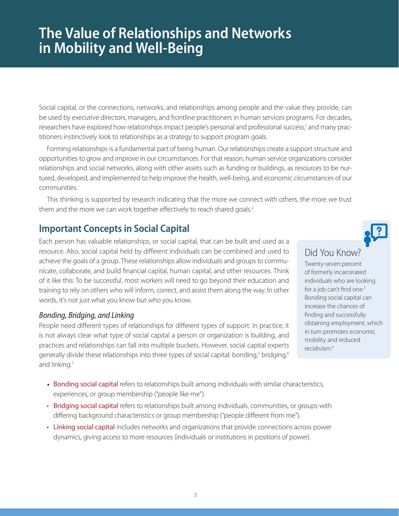# <span id="page-5-0"></span>**The Value of Relationships and Networks in Mobility and Well-Being**

Social capital, or the connections, networks, and relationships among people and the value they provide, can be used by executive directors, managers, and frontline practitioners in human services programs. For decades, researchers have explored how relationships impact people's personal and professional success,<sup>1</sup> and many practitioners instinctively look to relationships as a strategy to support program goals.

Forming relationships is a fundamental part of being human. Our relationships create a support structure and opportunities to grow and improve in our circumstances. For that reason, human service organizations consider relationships and social networks, along with other assets such as funding or buildings, as resources to be nurtured, developed, and implemented to help improve the health, well-being, and economic circumstances of our communities.

This thinking is supported by research indicating that the more we connect with others, the more we trust them and the more we can work together effectively to reach shared goals.<sup>2</sup>

## <span id="page-5-1"></span>**Important Concepts in Social Capital**

Each person has valuable relationships, or social capital, that can be built and used as a resource. Also, social capital held by different individuals can be combined and used to achieve the goals of a group. These relationships allow individuals and groups to communicate, collaborate, and build financial capital, human capital, and other resources. Think of it like this: To be successful, most workers will need to go beyond their education and training to rely on others who will inform, correct, and assist them along the way. In other words, it's not just what you know but who you know.

#### *Bonding, Bridging, and Linking*

People need different types of relationships for different types of support. In practice, it is not always clear what type of social capital a person or organization is building, and practices and relationships can fall into multiple buckets. However, social capital experts generally divide these relationships into three types of social capital: bonding,<sup>5</sup> bridging,<sup>6</sup> and linking.<sup>7</sup>

- Bonding social capital refers to relationships built among individuals with similar characteristics, experiences, or group membership ("people like me").
- Bridging social capital refers to relationships built among individuals, communities, or groups with differing background characteristics or group membership ("people different from me").
- Linking social capital includes networks and organizations that provide connections across power dynamics, giving access to more resources (individuals or institutions in positions of power).

#### Did You Know?

Twenty-seven percent of formerly incarcerated individuals who are looking for a job can't find one.<sup>3</sup> Bonding social capital can increase the chances of finding and successfully obtaining employment, which in turn promotes economic mobility and reduced recidivism.4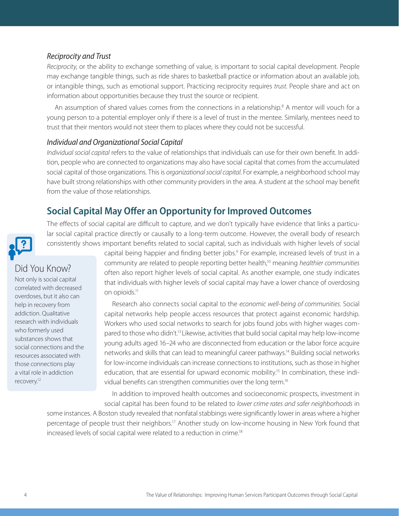#### *Reciprocity and Trust*

*Reciprocity*, or the ability to exchange something of value, is important to social capital development. People may exchange tangible things, such as ride shares to basketball practice or information about an available job, or intangible things, such as emotional support. Practicing reciprocity requires *trust*. People share and act on information about opportunities because they trust the source or recipient.

An assumption of shared values comes from the connections in a relationship.<sup>8</sup> A mentor will vouch for a young person to a potential employer only if there is a level of trust in the mentee. Similarly, mentees need to trust that their mentors would not steer them to places where they could not be successful.

#### *Individual and Organizational Social Capital*

*Individual social capital* refers to the value of relationships that individuals can use for their own benefit. In addition, people who are connected to organizations may also have social capital that comes from the accumulated social capital of those organizations. This is *organizational social capital*. For example, a neighborhood school may have built strong relationships with other community providers in the area. A student at the school may benefit from the value of those relationships.

# **Social Capital May Offer an Opportunity for Improved Outcomes**

The effects of social capital are difficult to capture, and we don't typically have evidence that links a particular social capital practice directly or causally to a long-term outcome. However, the overall body of research consistently shows important benefits related to social capital, such as individuals with higher levels of social

# <span id="page-6-0"></span>Did You Know?

Not only is social capital correlated with decreased overdoses, but it also can help in recovery from addiction. Qualitative research with individuals who formerly used substances shows that social connections and the resources associated with those connections play a vital role in addiction recovery.12

capital being happier and finding better jobs.<sup>9</sup> For example, increased levels of trust in a community are related to people reporting better health,10 meaning *healthier communities* often also report higher levels of social capital. As another example, one study indicates that individuals with higher levels of social capital may have a lower chance of overdosing on opioids.<sup>11</sup>

Research also connects social capital to the *economic well-being of communities*. Social capital networks help people access resources that protect against economic hardship. Workers who used social networks to search for jobs found jobs with higher wages compared to those who didn't.<sup>13</sup> Likewise, activities that build social capital may help low-income young adults aged 16–24 who are disconnected from education or the labor force acquire networks and skills that can lead to meaningful career pathways.14 Building social networks for low-income individuals can increase connections to institutions, such as those in higher education, that are essential for upward economic mobility.<sup>15</sup> In combination, these individual benefits can strengthen communities over the long term.16

In addition to improved health outcomes and socioeconomic prospects, investment in social capital has been found to be related to *lower crime rates and safer neighborhoods* in

some instances. A Boston study revealed that nonfatal stabbings were significantly lower in areas where a higher percentage of people trust their neighbors.<sup>17</sup> Another study on low-income housing in New York found that increased levels of social capital were related to a reduction in crime.<sup>18</sup>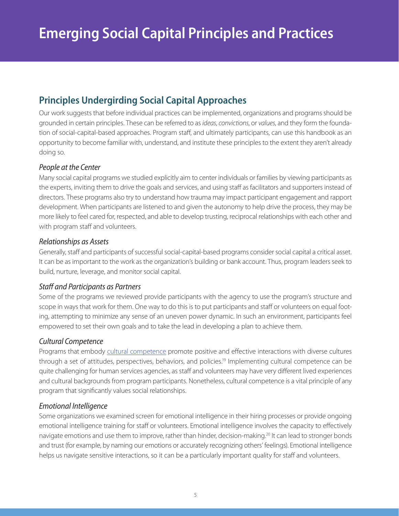# <span id="page-7-1"></span><span id="page-7-0"></span>**Principles Undergirding Social Capital Approaches**

Our work suggests that before individual practices can be implemented, organizations and programs should be grounded in certain principles. These can be referred to as *ideas*, *convictions*, or *values*, and they form the foundation of social-capital-based approaches. Program staff, and ultimately participants, can use this handbook as an opportunity to become familiar with, understand, and institute these principles to the extent they aren't already doing so.

#### *People at the Center*

Many social capital programs we studied explicitly aim to center individuals or families by viewing participants as the experts, inviting them to drive the goals and services, and using staff as facilitators and supporters instead of directors. These programs also try to understand how trauma may impact participant engagement and rapport development. When participants are listened to and given the autonomy to help drive the process, they may be more likely to feel cared for, respected, and able to develop trusting, reciprocal relationships with each other and with program staff and volunteers.

#### *Relationships as Assets*

Generally, staff and participants of successful social-capital-based programs consider social capital a critical asset. It can be as important to the work as the organization's building or bank account. Thus, program leaders seek to build, nurture, leverage, and monitor social capital.

#### *Staff and Participants as Partners*

Some of the programs we reviewed provide participants with the agency to use the program's structure and scope in ways that work for them. One way to do this is to put participants and staff or volunteers on equal footing, attempting to minimize any sense of an uneven power dynamic. In such an environment, participants feel empowered to set their own goals and to take the lead in developing a plan to achieve them.

#### *Cultural Competence*

Programs that embody [cultural competence](https://npin.cdc.gov/pages/cultural-competence) promote positive and effective interactions with diverse cultures through a set of attitudes, perspectives, behaviors, and policies.<sup>19</sup> Implementing cultural competence can be quite challenging for human services agencies, as staff and volunteers may have very different lived experiences and cultural backgrounds from program participants. Nonetheless, cultural competence is a vital principle of any program that significantly values social relationships.

#### *Emotional Intelligence*

Some organizations we examined screen for emotional intelligence in their hiring processes or provide ongoing emotional intelligence training for staff or volunteers. Emotional intelligence involves the capacity to effectively navigate emotions and use them to improve, rather than hinder, decision-making.<sup>20</sup> It can lead to stronger bonds and trust (for example, by naming our emotions or accurately recognizing others' feelings). Emotional intelligence helps us navigate sensitive interactions, so it can be a particularly important quality for staff and volunteers.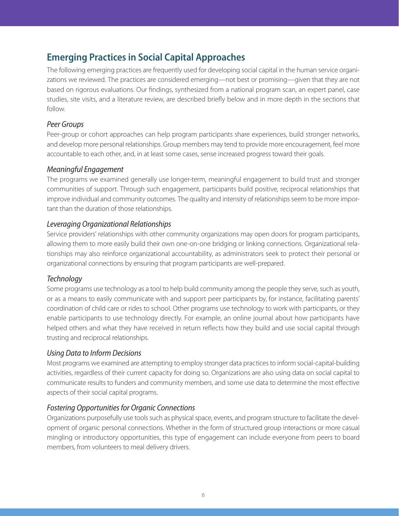# <span id="page-8-0"></span>**Emerging Practices in Social Capital Approaches**

The following emerging practices are frequently used for developing social capital in the human service organizations we reviewed. The practices are considered emerging—not best or promising—given that they are not based on rigorous evaluations. Our findings, synthesized from a national program scan, an expert panel, case studies, site visits, and a literature review, are described briefly below and in more depth in the sections that follow.

#### *Peer Groups*

Peer-group or cohort approaches can help program participants share experiences, build stronger networks, and develop more personal relationships. Group members may tend to provide more encouragement, feel more accountable to each other, and, in at least some cases, sense increased progress toward their goals.

#### *Meaningful Engagement*

The programs we examined generally use longer-term, meaningful engagement to build trust and stronger communities of support. Through such engagement, participants build positive, reciprocal relationships that improve individual and community outcomes. The quality and intensity of relationships seem to be more important than the duration of those relationships.

#### *Leveraging Organizational Relationships*

Service providers' relationships with other community organizations may open doors for program participants, allowing them to more easily build their own one-on-one bridging or linking connections. Organizational relationships may also reinforce organizational accountability, as administrators seek to protect their personal or organizational connections by ensuring that program participants are well-prepared.

#### *Technology*

Some programs use technology as a tool to help build community among the people they serve, such as youth, or as a means to easily communicate with and support peer participants by, for instance, facilitating parents' coordination of child care or rides to school. Other programs use technology to work with participants, or they enable participants to use technology directly. For example, an online journal about how participants have helped others and what they have received in return reflects how they build and use social capital through trusting and reciprocal relationships.

#### *Using Data to Inform Decisions*

Most programs we examined are attempting to employ stronger data practices to inform social-capital-building activities, regardless of their current capacity for doing so. Organizations are also using data on social capital to communicate results to funders and community members, and some use data to determine the most effective aspects of their social capital programs.

#### *Fostering Opportunities for Organic Connections*

Organizations purposefully use tools such as physical space, events, and program structure to facilitate the development of organic personal connections. Whether in the form of structured group interactions or more casual mingling or introductory opportunities, this type of engagement can include everyone from peers to board members, from volunteers to meal delivery drivers.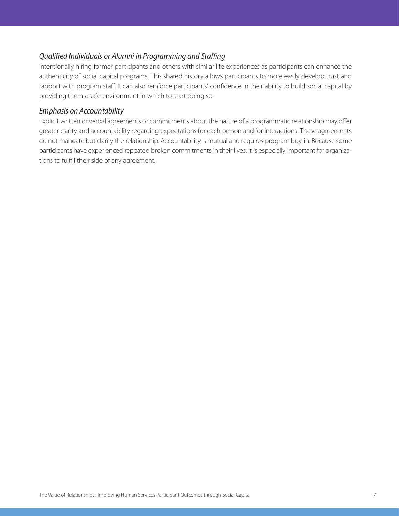#### *Qualified Individuals or Alumni in Programming and Staffing*

Intentionally hiring former participants and others with similar life experiences as participants can enhance the authenticity of social capital programs. This shared history allows participants to more easily develop trust and rapport with program staff. It can also reinforce participants' confidence in their ability to build social capital by providing them a safe environment in which to start doing so.

#### *Emphasis on Accountability*

Explicit written or verbal agreements or commitments about the nature of a programmatic relationship may offer greater clarity and accountability regarding expectations for each person and for interactions. These agreements do not mandate but clarify the relationship. Accountability is mutual and requires program buy-in. Because some participants have experienced repeated broken commitments in their lives, it is especially important for organizations to fulfill their side of any agreement.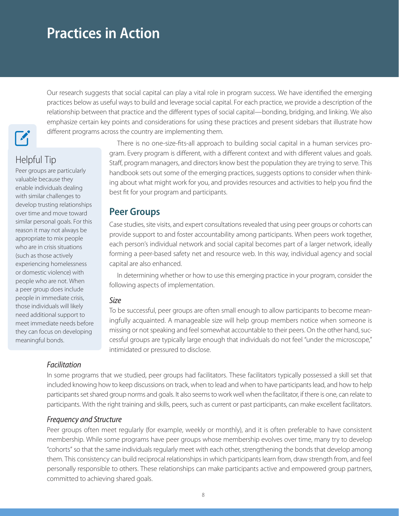# <span id="page-10-0"></span>**Practices in Action**

 $\mathbf{z}_1$ 

# Helpful Tip

<span id="page-10-1"></span>Peer groups are particularly valuable because they enable individuals dealing with similar challenges to develop trusting relationships over time and move toward similar personal goals. For this reason it may not always be appropriate to mix people who are in crisis situations (such as those actively experiencing homelessness or domestic violence) with people who are not. When a peer group does include people in immediate crisis, those individuals will likely need additional support to meet immediate needs before they can focus on developing meaningful bonds.

There is no one-size-fits-all approach to building social capital in a human services program. Every program is different, with a different context and with different values and goals. Staff, program managers, and directors know best the population they are trying to serve. This handbook sets out some of the emerging practices, suggests options to consider when thinking about what might work for you, and provides resources and activities to help you find the best fit for your program and participants.

Our research suggests that social capital can play a vital role in program success. We have identified the emerging practices below as useful ways to build and leverage social capital. For each practice, we provide a description of the relationship between that practice and the different types of social capital—bonding, bridging, and linking. We also emphasize certain key points and considerations for using these practices and present sidebars that illustrate how

#### **Peer Groups**

different programs across the country are implementing them.

Case studies, site visits, and expert consultations revealed that using peer groups or cohorts can provide support to and foster accountability among participants. When peers work together, each person's individual network and social capital becomes part of a larger network, ideally forming a peer-based safety net and resource web. In this way, individual agency and social capital are also enhanced.

In determining whether or how to use this emerging practice in your program, consider the following aspects of implementation.

#### *Size*

To be successful, peer groups are often small enough to allow participants to become meaningfully acquainted. A manageable size will help group members notice when someone is missing or not speaking and feel somewhat accountable to their peers. On the other hand, successful groups are typically large enough that individuals do not feel "under the microscope," intimidated or pressured to disclose.

#### *Facilitation*

In some programs that we studied, peer groups had facilitators. These facilitators typically possessed a skill set that included knowing how to keep discussions on track, when to lead and when to have participants lead, and how to help participants set shared group norms and goals. It also seems to work well when the facilitator, if there is one, can relate to participants. With the right training and skills, peers, such as current or past participants, can make excellent facilitators.

#### *Frequency and Structure*

Peer groups often meet regularly (for example, weekly or monthly), and it is often preferable to have consistent membership. While some programs have peer groups whose membership evolves over time, many try to develop "cohorts" so that the same individuals regularly meet with each other, strengthening the bonds that develop among them. This consistency can build reciprocal relationships in which participants learn from, draw strength from, and feel personally responsible to others. These relationships can make participants active and empowered group partners, committed to achieving shared goals.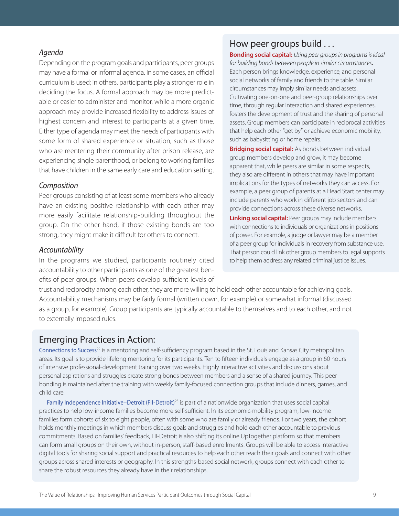#### *Agenda*

Depending on the program goals and participants, peer groups may have a formal or informal agenda. In some cases, an official curriculum is used; in others, participants play a stronger role in deciding the focus. A formal approach may be more predictable or easier to administer and monitor, while a more organic approach may provide increased flexibility to address issues of highest concern and interest to participants at a given time. Either type of agenda may meet the needs of participants with some form of shared experience or situation, such as those who are reentering their community after prison release, are experiencing single parenthood, or belong to working families that have children in the same early care and education setting.

#### *Composition*

Peer groups consisting of at least some members who already have an existing positive relationship with each other may more easily facilitate relationship-building throughout the group. On the other hand, if those existing bonds are too strong, they might make it difficult for others to connect.

#### *Accountability*

In the programs we studied, participants routinely cited accountability to other participants as one of the greatest benefits of peer groups. When peers develop sufficient levels of

### How peer groups build . . .

**Bonding social capital:** *Using peer groups in programs is ideal for building bonds between people in similar circumstances.* Each person brings knowledge, experience, and personal social networks of family and friends to the table. Similar circumstances may imply similar needs and assets. Cultivating one-on-one and peer-group relationships over time, through regular interaction and shared experiences, fosters the development of trust and the sharing of personal assets. Group members can participate in reciprocal activities that help each other "get by" or achieve economic mobility, such as babysitting or home repairs.

**Bridging social capital:** As bonds between individual group members develop and grow, it may become apparent that, while peers are similar in some respects, they also are different in others that may have important implications for the types of networks they can access. For example, a peer group of parents at a Head Start center may include parents who work in different job sectors and can provide connections across these diverse networks.

**Linking social capital:** Peer groups may include members with connections to individuals or organizations in positions of power. For example, a judge or lawyer may be a member of a peer group for individuals in recovery from substance use. That person could link other group members to legal supports to help them address any related criminal justice issues.

trust and reciprocity among each other, they are more willing to hold each other accountable for achieving goals. Accountability mechanisms may be fairly formal (written down, for example) or somewhat informal (discussed as a group, for example). Group participants are typically accountable to themselves and to each other, and not to externally imposed rules.

#### Emerging Practices in Action:

[Connections to Success](https://aspe.hhs.gov/system/files/aspe-files/262741/ctscasestudy.pdf)<sup>22</sup> is a mentoring and self-sufficiency program based in the St. Louis and Kansas City metropolitan areas. Its goal is to provide lifelong mentoring for its participants. Ten to fifteen individuals engage as a group in 60 hours of intensive professional-development training over two weeks. Highly interactive activities and discussions about personal aspirations and struggles create strong bonds between members and a sense of a shared journey. This peer bonding is maintained after the training with weekly family-focused connection groups that include dinners, games, and child care.

[Family Independence Initiative–Detroit \(FII-Detroit\)](https://aspe.hhs.gov/system/files/aspe-files/262741/fiicasestudy.pdf)<sup>23</sup> is part of a nationwide organization that uses social capital practices to help low-income families become more self-sufficient. In its economic-mobility program, low-income families form cohorts of six to eight people, often with some who are family or already friends. For two years, the cohort holds monthly meetings in which members discuss goals and struggles and hold each other accountable to previous commitments. Based on families' feedback, FII-Detroit is also shifting its online UpTogether platform so that members can form small groups on their own, without in-person, staff-based enrollments. Groups will be able to access interactive digital tools for sharing social support and practical resources to help each other reach their goals and connect with other groups across shared interests or geography. In this strengths-based social network, groups connect with each other to share the robust resources they already have in their relationships.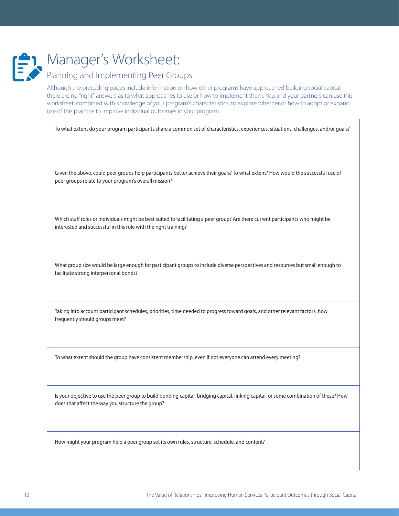

# Planning and Implementing Peer Groups

Although the preceding pages include information on how other programs have approached building social capital, there are no "right" answers as to what approaches to use or how to implement them. You and your partners can use this worksheet, combined with knowledge of your program's characteristics, to explore whether or how to adopt or expand use of this practice to improve individual outcomes in your program.

To what extent do your program participants share a common set of characteristics, experiences, situations, challenges, and/or goals?

Given the above, could peer groups help participants better achieve their goals? To what extent? How would the successful use of peer groups relate to your program's overall mission?

Which staff roles or individuals might be best suited to facilitating a peer group? Are there current participants who might be interested and successful in this role with the right training?

What group size would be large enough for participant groups to include diverse perspectives and resources but small enough to facilitate strong interpersonal bonds?

Taking into account participant schedules, priorities, time needed to progress toward goals, and other relevant factors, how frequently should groups meet?

To what extent should the group have consistent membership, even if not everyone can attend every meeting?

Is your objective to use the peer group to build bonding capital, bridging capital, linking capital, or some combination of these? How does that affect the way you structure the group?

How might your program help a peer group set its own rules, structure, schedule, and content?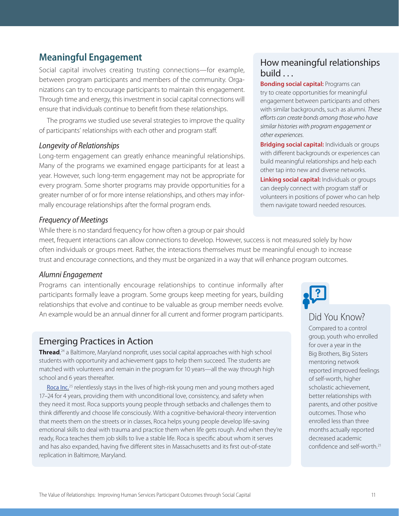# <span id="page-13-0"></span>**Meaningful Engagement**

Social capital involves creating trusting connections—for example, between program participants and members of the community. Organizations can try to encourage participants to maintain this engagement. Through time and energy, this investment in social capital connections will ensure that individuals continue to benefit from these relationships.

The programs we studied use several strategies to improve the quality of participants' relationships with each other and program staff.

#### *Longevity of Relationships*

Long-term engagement can greatly enhance meaningful relationships. Many of the programs we examined engage participants for at least a year. However, such long-term engagement may not be appropriate for every program. Some shorter programs may provide opportunities for a greater number of or for more intense relationships, and others may informally encourage relationships after the formal program ends.

#### *Frequency of Meetings*

While there is no standard frequency for how often a group or pair should

#### meet, frequent interactions can allow connections to develop. However, success is not measured solely by how often individuals or groups meet. Rather, the interactions themselves must be meaningful enough to increase trust and encourage connections, and they must be organized in a way that will enhance program outcomes.

#### *Alumni Engagement*

Programs can intentionally encourage relationships to continue informally after participants formally leave a program. Some groups keep meeting for years, building relationships that evolve and continue to be valuable as group member needs evolve. An example would be an annual dinner for all current and former program participants.

#### Emerging Practices in Action

**Thread**,<sup>24</sup> a Baltimore, Maryland nonprofit, uses social capital approaches with high school students with opportunity and achievement gaps to help them succeed. The students are matched with volunteers and remain in the program for 10 years—all the way through high school and 6 years thereafter.

[Roca Inc.](https://aspe.hhs.gov/system/files/aspe-files/262741/rocacasestudy.pdf)<sup>25</sup> relentlessly stays in the lives of high-risk young men and young mothers aged 17–24 for 4 years, providing them with unconditional love, consistency, and safety when they need it most. Roca supports young people through setbacks and challenges them to think differently and choose life consciously. With a cognitive-behavioral-theory intervention that meets them on the streets or in classes, Roca helps young people develop life-saving emotional skills to deal with trauma and practice them when life gets rough. And when they're ready, Roca teaches them job skills to live a stable life. Roca is specific about whom it serves and has also expanded, having five different sites in Massachusetts and its first out-of-state replication in Baltimore, Maryland.

### How meaningful relationships build . . .

**Bonding social capital:** Programs can try to create opportunities for meaningful engagement between participants and others with similar backgrounds, such as alumni. *These efforts can create bonds among those who have similar histories with program engagement or other experiences*.

**Bridging social capital:** Individuals or groups with different backgrounds or experiences can build meaningful relationships and help each other tap into new and diverse networks.

**Linking social capital:** Individuals or groups can deeply connect with program staff or volunteers in positions of power who can help them navigate toward needed resources.

# Did You Know?

Compared to a control group, youth who enrolled for over a year in the Big Brothers, Big Sisters mentoring network reported improved feelings of self-worth, higher scholastic achievement, better relationships with parents, and other positive outcomes. Those who enrolled less than three months actually reported decreased academic confidence and self-worth.21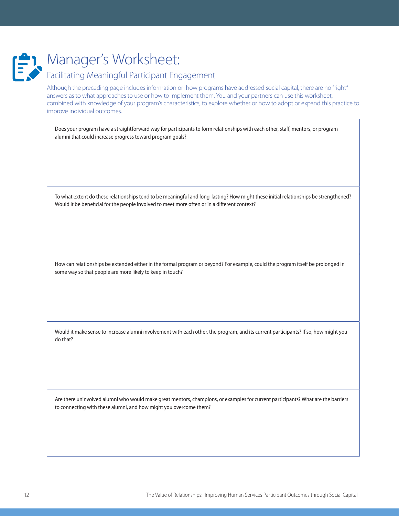

# Facilitating Meaningful Participant Engagement

Although the preceding page includes information on how programs have addressed social capital, there are no "right" answers as to what approaches to use or how to implement them. You and your partners can use this worksheet, combined with knowledge of your program's characteristics, to explore whether or how to adopt or expand this practice to improve individual outcomes.

Does your program have a straightforward way for participants to form relationships with each other, staff, mentors, or program alumni that could increase progress toward program goals?

To what extent do these relationships tend to be meaningful and long-lasting? How might these initial relationships be strengthened? Would it be beneficial for the people involved to meet more often or in a different context?

How can relationships be extended either in the formal program or beyond? For example, could the program itself be prolonged in some way so that people are more likely to keep in touch?

Would it make sense to increase alumni involvement with each other, the program, and its current participants? If so, how might you do that?

Are there uninvolved alumni who would make great mentors, champions, or examples for current participants? What are the barriers to connecting with these alumni, and how might you overcome them?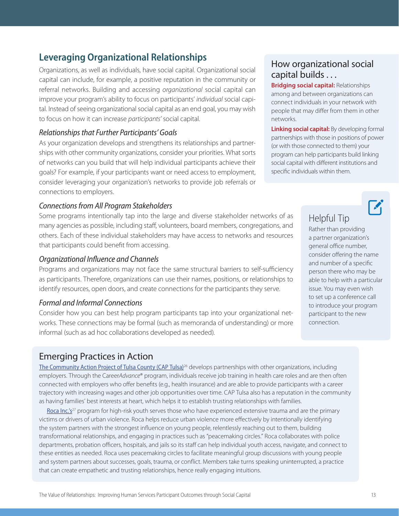# <span id="page-15-0"></span>**Leveraging Organizational Relationships**

Organizations, as well as individuals, have social capital. Organizational social capital can include, for example, a positive reputation in the community or referral networks. Building and accessing *organizational* social capital can improve your program's ability to focus on participants' *individual* social capital. Instead of seeing organizational social capital as an end goal, you may wish to focus on how it can increase *participants'* social capital.

#### *Relationships that Further Participants' Goals*

As your organization develops and strengthens its relationships and partnerships with other community organizations, consider your priorities. What sorts of networks can you build that will help individual participants achieve their goals? For example, if your participants want or need access to employment, consider leveraging your organization's networks to provide job referrals or connections to employers.

#### *Connections from All Program Stakeholders*

Some programs intentionally tap into the large and diverse stakeholder networks of as many agencies as possible, including staff, volunteers, board members, congregations, and others. Each of these individual stakeholders may have access to networks and resources that participants could benefit from accessing.

#### *Organizational Influence and Channels*

Programs and organizations may not face the same structural barriers to self-sufficiency as participants. Therefore, organizations can use their names, positions, or relationships to identify resources, open doors, and create connections for the participants they serve.

#### *Formal and Informal Connections*

Consider how you can best help program participants tap into your organizational networks. These connections may be formal (such as memoranda of understanding) or more informal (such as ad hoc collaborations developed as needed).

#### Emerging Practices in Action

[The Community Action Project of Tulsa County \(CAP Tulsa\)](https://aspe.hhs.gov/system/files/aspe-files/262741/captulsacasestudy.pdf)<sup>26</sup> develops partnerships with other organizations, including employers. Through the Career*Advance*® program, individuals receive job training in health care roles and are then often connected with employers who offer benefits (e.g., health insurance) and are able to provide participants with a career trajectory with increasing wages and other job opportunities over time. CAP Tulsa also has a reputation in the community as having families' best interests at heart, which helps it to establish trusting relationships with families.

[Roca Inc.'s](https://aspe.hhs.gov/system/files/aspe-files/262741/rocacasestudy.pdf)<sup>27</sup> program for high-risk youth serves those who have experienced extensive trauma and are the primary victims or drivers of urban violence. Roca helps reduce urban violence more effectively by intentionally identifying the system partners with the strongest influence on young people, relentlessly reaching out to them, building transformational relationships, and engaging in practices such as "peacemaking circles." Roca collaborates with police departments, probation officers, hospitals, and jails so its staff can help individual youth access, navigate, and connect to these entities as needed. Roca uses peacemaking circles to facilitate meaningful group discussions with young people and system partners about successes, goals, trauma, or conflict. Members take turns speaking uninterrupted, a practice that can create empathetic and trusting relationships, hence really engaging intuitions.

# How organizational social capital builds . . .

**Bridging social capital:** Relationships among and between organizations can connect individuals in your network with people that may differ from them in other networks.

**Linking social capital:** By developing formal partnerships with those in positions of power (or with those connected to them) your program can help participants build linking social capital with different institutions and specific individuals within them.

# Helpful Tip

Rather than providing a partner organization's general office number, consider offering the name and number of a specific person there who may be able to help with a particular issue. You may even wish to set up a conference call to introduce your program participant to the new connection.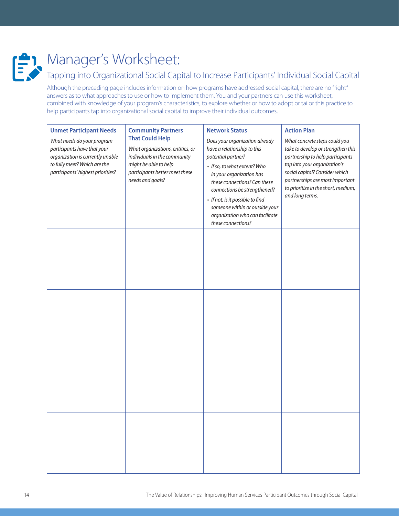

# Tapping into Organizational Social Capital to Increase Participants' Individual Social Capital

Although the preceding page includes information on how programs have addressed social capital, there are no "right" answers as to what approaches to use or how to implement them. You and your partners can use this worksheet, combined with knowledge of your program's characteristics, to explore whether or how to adopt or tailor this practice to help participants tap into organizational social capital to improve their individual outcomes.

| <b>Unmet Participant Needs</b><br>What needs do your program<br>participants have that your<br>organization is currently unable<br>to fully meet? Which are the<br>participants' highest priorities? | <b>Community Partners</b><br><b>That Could Help</b><br>What organizations, entities, or<br>individuals in the community<br>might be able to help<br>participants better meet these<br>needs and goals? | <b>Network Status</b><br>Does your organization already<br>have a relationship to this<br>potential partner?<br>• If so, to what extent? Who<br>in your organization has<br>these connections? Can these<br>connections be strengthened?<br>• If not, is it possible to find<br>someone within or outside your<br>organization who can facilitate<br>these connections? | <b>Action Plan</b><br>What concrete steps could you<br>take to develop or strengthen this<br>partnership to help participants<br>tap into your organization's<br>social capital? Consider which<br>partnerships are most important<br>to prioritize in the short, medium,<br>and long terms. |
|------------------------------------------------------------------------------------------------------------------------------------------------------------------------------------------------------|--------------------------------------------------------------------------------------------------------------------------------------------------------------------------------------------------------|-------------------------------------------------------------------------------------------------------------------------------------------------------------------------------------------------------------------------------------------------------------------------------------------------------------------------------------------------------------------------|----------------------------------------------------------------------------------------------------------------------------------------------------------------------------------------------------------------------------------------------------------------------------------------------|
|                                                                                                                                                                                                      |                                                                                                                                                                                                        |                                                                                                                                                                                                                                                                                                                                                                         |                                                                                                                                                                                                                                                                                              |
|                                                                                                                                                                                                      |                                                                                                                                                                                                        |                                                                                                                                                                                                                                                                                                                                                                         |                                                                                                                                                                                                                                                                                              |
|                                                                                                                                                                                                      |                                                                                                                                                                                                        |                                                                                                                                                                                                                                                                                                                                                                         |                                                                                                                                                                                                                                                                                              |
|                                                                                                                                                                                                      |                                                                                                                                                                                                        |                                                                                                                                                                                                                                                                                                                                                                         |                                                                                                                                                                                                                                                                                              |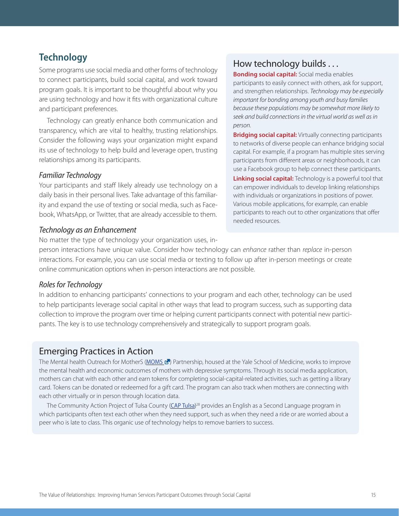# <span id="page-17-0"></span>**Technology**

Some programs use social media and other forms of technology to connect participants, build social capital, and work toward program goals. It is important to be thoughtful about why you are using technology and how it fits with organizational culture and participant preferences.

Technology can greatly enhance both communication and transparency, which are vital to healthy, trusting relationships. Consider the following ways your organization might expand its use of technology to help build and leverage open, trusting relationships among its participants.

#### *Familiar Technology*

Your participants and staff likely already use technology on a daily basis in their personal lives. Take advantage of this familiarity and expand the use of texting or social media, such as Facebook, WhatsApp, or Twitter, that are already accessible to them.

#### *Technology as an Enhancement*

No matter the type of technology your organization uses, in-

## How technology builds . . .

**Bonding social capital:** Social media enables participants to easily connect with others, ask for support, and strengthen relationships. *Technology may be especially important for bonding among youth and busy families because these populations may be somewhat more likely to seek and build connections in the virtual world as well as in person*.

**Bridging social capital:** Virtually connecting participants to networks of diverse people can enhance bridging social capital. For example, if a program has multiple sites serving participants from different areas or neighborhoods, it can use a Facebook group to help connect these participants. **Linking social capital:** Technology is a powerful tool that can empower individuals to develop linking relationships with individuals or organizations in positions of power. Various mobile applications, for example, can enable participants to reach out to other organizations that offer needed resources.

person interactions have unique value. Consider how technology can *enhance* rather than *replace* in-person interactions. For example, you can use social media or texting to follow up after in-person meetings or create online communication options when in-person interactions are not possible.

#### *Roles for Technology*

In addition to enhancing participants' connections to your program and each other, technology can be used to help participants leverage social capital in other ways that lead to program success, such as supporting data collection to improve the program over time or helping current participants connect with potential new participants. The key is to use technology comprehensively and strategically to support program goals.

#### Emerging Practices in Action

The Mental health Outreach for MotherS ([MOMS](https://www.irp.wisc.edu/resource/measuring-how-social-relationships-contribute-to-the-outcomes-of-program-participants/) E) Partnership, housed at the Yale School of Medicine, works to improve the mental health and economic outcomes of mothers with depressive symptoms. Through its social media application, mothers can chat with each other and earn tokens for completing social-capital-related activities, such as getting a library card. Tokens can be donated or redeemed for a gift card. The program can also track when mothers are connecting with each other virtually or in person through location data.

The Community Action Project of Tulsa County ([CAP Tulsa](https://aspe.hhs.gov/system/files/aspe-files/262741/captulsacasestudy.pdf))<sup>28</sup> provides an English as a Second Language program in which participants often text each other when they need support, such as when they need a ride or are worried about a peer who is late to class. This organic use of technology helps to remove barriers to success.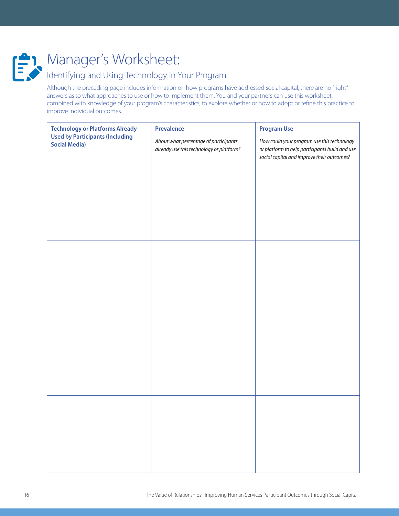

# Identifying and Using Technology in Your Program

Although the preceding page includes information on how programs have addressed social capital, there are no "right" answers as to what approaches to use or how to implement them. You and your partners can use this worksheet, combined with knowledge of your program's characteristics, to explore whether or how to adopt or refine this practice to improve individual outcomes.

| <b>Technology or Platforms Already</b><br><b>Used by Participants (Including</b><br><b>Social Media)</b> | <b>Prevalence</b>                                                                 | <b>Program Use</b>                                                                                                                         |
|----------------------------------------------------------------------------------------------------------|-----------------------------------------------------------------------------------|--------------------------------------------------------------------------------------------------------------------------------------------|
|                                                                                                          | About what percentage of participants<br>already use this technology or platform? | How could your program use this technology<br>or platform to help participants build and use<br>social capital and improve their outcomes? |
|                                                                                                          |                                                                                   |                                                                                                                                            |
|                                                                                                          |                                                                                   |                                                                                                                                            |
|                                                                                                          |                                                                                   |                                                                                                                                            |
|                                                                                                          |                                                                                   |                                                                                                                                            |
|                                                                                                          |                                                                                   |                                                                                                                                            |
|                                                                                                          |                                                                                   |                                                                                                                                            |
|                                                                                                          |                                                                                   |                                                                                                                                            |
|                                                                                                          |                                                                                   |                                                                                                                                            |
|                                                                                                          |                                                                                   |                                                                                                                                            |
|                                                                                                          |                                                                                   |                                                                                                                                            |
|                                                                                                          |                                                                                   |                                                                                                                                            |
|                                                                                                          |                                                                                   |                                                                                                                                            |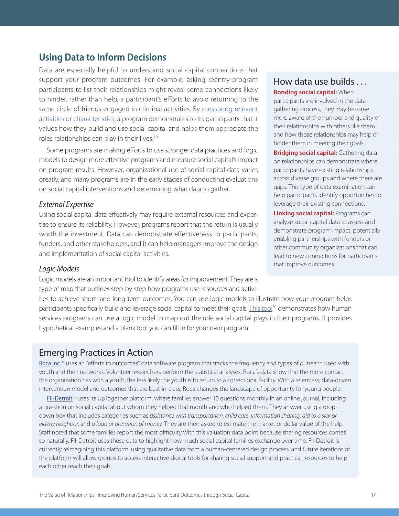### <span id="page-19-0"></span>**Using Data to Inform Decisions**

Data are especially helpful to understand social capital connections that support your program outcomes. For example, asking reentry-program participants to list their relationships might reveal some connections likely to hinder, rather than help, a participant's efforts to avoid returning to the same circle of friends engaged in criminal activities. By [measuring relevant](https://aspe.hhs.gov/system/files/pdf/262956/FINALSocialCapitalMeasurementBrief.pdf)  [activities or characteristics,](https://aspe.hhs.gov/system/files/pdf/262956/FINALSocialCapitalMeasurementBrief.pdf) a program demonstrates to its participants that it values how they build and use social capital and helps them appreciate the roles relationships can play in their lives.<sup>29</sup>

Some programs are making efforts to use stronger data practices and logic models to design more effective programs and measure social capital's impact on program results. However, organizational use of social capital data varies greatly, and many programs are in the early stages of conducting evaluations on social capital interventions and determining what data to gather.

#### *External Expertise*

Using social capital data effectively may require external resources and expertise to ensure its reliability. However, programs report that the return is usually worth the investment. Data can demonstrate effectiveness to participants, funders, and other stakeholders, and it can help managers improve the design and implementation of social capital activities.

#### *Logic Models*

Logic models are an important tool to identify areas for improvement. They are a type of map that outlines step-by-step how programs use resources and activi-

ties to achieve short- and long-term outcomes. You can use logic models to illustrate how your program helps participants specifically build and leverage social capital to meet their goals. [This tool](https://aspe.hhs.gov/how-include-social-capital-human-services-program-logic-model)<sup>30</sup> demonstrates how human services programs can use a logic model to map out the role social capital plays in their programs. It provides hypothetical examples and a blank tool you can fill in for your own program.

## Emerging Practices in Action

[Roca Inc.](https://aspe.hhs.gov/system/files/aspe-files/262741/rocacasestudy.pdf)<sup>31</sup> uses an "efforts to outcomes" data software program that tracks the frequency and types of outreach used with youth and their networks. Volunteer researchers perform the statistical analyses. Roca's data show that the more contact the organization has with a youth, the less likely the youth is to return to a correctional facility. With a relentless, data-driven intervention model and outcomes that are best-in-class, Roca changes the landscape of opportunity for young people.

[FII-Detroit](https://aspe.hhs.gov/system/files/aspe-files/262741/fiicasestudy.pdf)<sup>32</sup> uses its UpTogether platform, where families answer 10 questions monthly in an online journal, including a question on social capital about whom they helped that month and who helped them. They answer using a dropdown box that includes categories such as *assistance with transportation*, *child care*, *information sharing*, *aid to a sick or elderly neighbor*, and *a loan or donation of money*. They are then asked to estimate the market or dollar value of the help. Staff noted that some families report the most difficulty with this valuation data point because sharing resources comes so naturally. FII-Detroit uses these data to highlight how much social capital families exchange over time. FII-Detroit is currently reimagining this platform, using qualitative data from a human-centered design process, and future iterations of the platform will allow groups to access interactive digital tools for sharing social support and practical resources to help each other reach their goals.

#### How data use builds . . .

**Bonding social capital:** When participants are involved in the datagathering process, they may become more aware of the number and quality of their relationships with others like them and how those relationships may help or hinder them in meeting their goals.

**Bridging social capital:** Gathering data on relationships can demonstrate where participants have existing relationships across diverse groups and where there are gaps. This type of data examination can help participants identify opportunities to leverage their existing connections.

**Linking social capital:** Programs can analyze social capital data to assess and demonstrate program impact, potentially enabling partnerships with funders or other community organizations that can lead to new connections for participants that improve outcomes.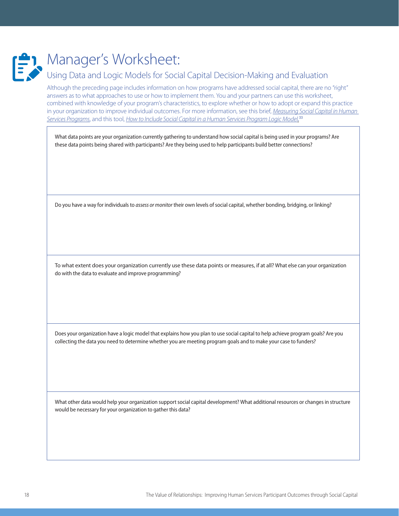

# Using Data and Logic Models for Social Capital Decision-Making and Evaluation

Although the preceding page includes information on how programs have addressed social capital, there are no "right" answers as to what approaches to use or how to implement them. You and your partners can use this worksheet, combined with knowledge of your program's characteristics, to explore whether or how to adopt or expand this practice in your organization to improve individual outcomes. For more information, see this brief, *[Measuring Social Capital in Human](https://aspe.hhs.gov/system/files/pdf/262956/FINALSocialCapitalMeasurementBrief.pdf) [Services Programs](https://aspe.hhs.gov/system/files/pdf/262956/FINALSocialCapitalMeasurementBrief.pdf)*, and this tool, *[How to Include Social Capital in a Human Services Program Logic Model](https://aspe.hhs.gov/how-include-social-capital-human-services-program-logic-model)*. 33

What data points are your organization currently gathering to understand how social capital is being used in your programs? Are these data points being shared with participants? Are they being used to help participants build better connections?

Do you have a way for individuals to *assess or monitor* their own levels of social capital, whether bonding, bridging, or linking?

To what extent does your organization currently use these data points or measures, if at all? What else can your organization do with the data to evaluate and improve programming?

Does your organization have a logic model that explains how you plan to use social capital to help achieve program goals? Are you collecting the data you need to determine whether you are meeting program goals and to make your case to funders?

What other data would help your organization support social capital development? What additional resources or changes in structure would be necessary for your organization to gather this data?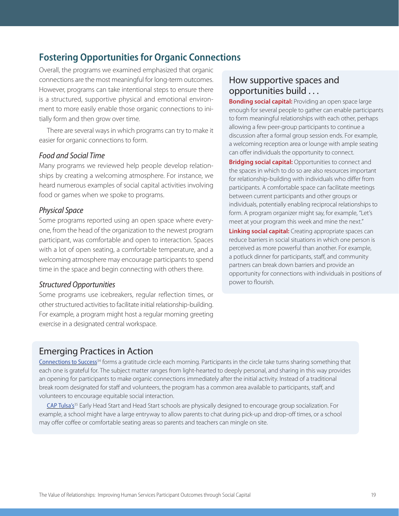# <span id="page-21-0"></span>**Fostering Opportunities for Organic Connections**

Overall, the programs we examined emphasized that organic connections are the most meaningful for long-term outcomes. However, programs can take intentional steps to ensure there is a structured, supportive physical and emotional environment to more easily enable those organic connections to initially form and then grow over time.

There are several ways in which programs can try to make it easier for organic connections to form.

#### *Food and Social Time*

Many programs we reviewed help people develop relationships by creating a welcoming atmosphere. For instance, we heard numerous examples of social capital activities involving food or games when we spoke to programs.

#### *Physical Space*

Some programs reported using an open space where everyone, from the head of the organization to the newest program participant, was comfortable and open to interaction. Spaces with a lot of open seating, a comfortable temperature, and a welcoming atmosphere may encourage participants to spend time in the space and begin connecting with others there.

#### *Structured Opportunities*

Some programs use icebreakers, regular reflection times, or other structured activities to facilitate initial relationship-building. For example, a program might host a regular morning greeting exercise in a designated central workspace.

#### How supportive spaces and opportunities build . . .

**Bonding social capital:** Providing an open space large enough for several people to gather can enable participants to form meaningful relationships with each other, perhaps allowing a few peer-group participants to continue a discussion after a formal group session ends. For example, a welcoming reception area or lounge with ample seating can offer individuals the opportunity to connect.

**Bridging social capital:** Opportunities to connect and the spaces in which to do so are also resources important for relationship-building with individuals who differ from participants. A comfortable space can facilitate meetings between current participants and other groups or individuals, potentially enabling reciprocal relationships to form. A program organizer might say, for example, "Let's meet at your program this week and mine the next."

**Linking social capital:** Creating appropriate spaces can reduce barriers in social situations in which one person is perceived as more powerful than another. For example, a potluck dinner for participants, staff, and community partners can break down barriers and provide an opportunity for connections with individuals in positions of power to flourish.

#### Emerging Practices in Action

[Connections to Success](https://aspe.hhs.gov/system/files/aspe-files/262741/ctscasestudy.pdf)<sup>34</sup> forms a gratitude circle each morning. Participants in the circle take turns sharing something that each one is grateful for. The subject matter ranges from light-hearted to deeply personal, and sharing in this way provides an opening for participants to make organic connections immediately after the initial activity. Instead of a traditional break room designated for staff and volunteers, the program has a common area available to participants, staff, and volunteers to encourage equitable social interaction.

[CAP Tulsa's](https://aspe.hhs.gov/system/files/aspe-files/262741/captulsacasestudy.pdf)<sup>35</sup> Early Head Start and Head Start schools are physically designed to encourage group socialization. For example, a school might have a large entryway to allow parents to chat during pick-up and drop-off times, or a school may offer coffee or comfortable seating areas so parents and teachers can mingle on site.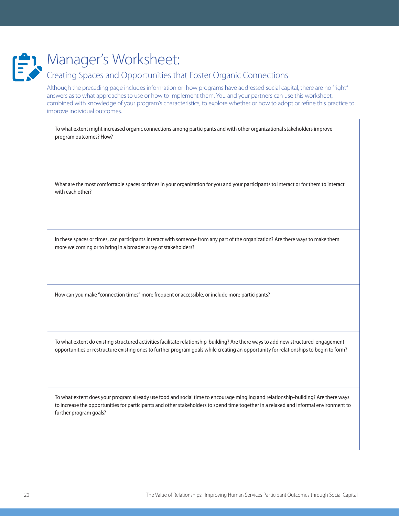

#### Creating Spaces and Opportunities that Foster Organic Connections

Although the preceding page includes information on how programs have addressed social capital, there are no "right" answers as to what approaches to use or how to implement them. You and your partners can use this worksheet, combined with knowledge of your program's characteristics, to explore whether or how to adopt or refine this practice to improve individual outcomes.

To what extent might increased organic connections among participants and with other organizational stakeholders improve program outcomes? How?

What are the most comfortable spaces or times in your organization for you and your participants to interact or for them to interact with each other?

In these spaces or times, can participants interact with someone from any part of the organization? Are there ways to make them more welcoming or to bring in a broader array of stakeholders?

How can you make "connection times" more frequent or accessible, or include more participants?

To what extent do existing structured activities facilitate relationship-building? Are there ways to add new structured-engagement opportunities or restructure existing ones to further program goals while creating an opportunity for relationships to begin to form?

To what extent does your program already use food and social time to encourage mingling and relationship-building? Are there ways to increase the opportunities for participants and other stakeholders to spend time together in a relaxed and informal environment to further program goals?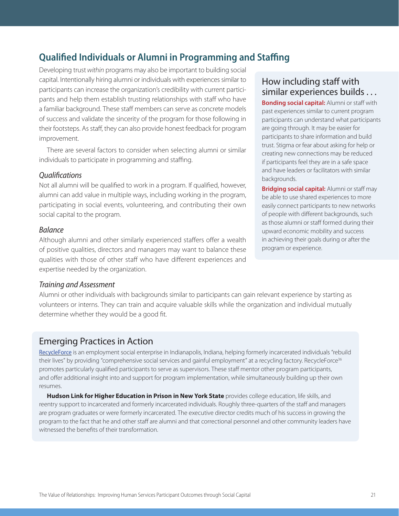# <span id="page-23-0"></span>**Qualified Individuals or Alumni in Programming and Staffing**

Developing trust *within* programs may also be important to building social capital. Intentionally hiring alumni or individuals with experiences similar to participants can increase the organization's credibility with current participants and help them establish trusting relationships with staff who have a familiar background. These staff members can serve as concrete models of success and validate the sincerity of the program for those following in their footsteps. As staff, they can also provide honest feedback for program improvement.

There are several factors to consider when selecting alumni or similar individuals to participate in programming and staffing.

#### *Qualifications*

Not all alumni will be qualified to work in a program. If qualified, however, alumni can add value in multiple ways, including working in the program, participating in social events, volunteering, and contributing their own social capital to the program.

#### *Balance*

Although alumni and other similarly experienced staffers offer a wealth of positive qualities, directors and managers may want to balance these qualities with those of other staff who have different experiences and expertise needed by the organization.

## How including staff with similar experiences builds . . .

**Bonding social capital:** Alumni or staff with past experiences similar to current program participants can understand what participants are going through. It may be easier for participants to share information and build trust. Stigma or fear about asking for help or creating new connections may be reduced if participants feel they are in a safe space and have leaders or facilitators with similar backgrounds.

**Bridging social capital:** Alumni or staff may be able to use shared experiences to more easily connect participants to new networks of people with different backgrounds, such as those alumni or staff formed during their upward economic mobility and success in achieving their goals during or after the program or experience.

#### *Training and Assessment*

Alumni or other individuals with backgrounds similar to participants can gain relevant experience by starting as volunteers or interns. They can train and acquire valuable skills while the organization and individual mutually determine whether they would be a good fit.

#### Emerging Practices in Action

[RecycleForce](https://aspe.hhs.gov/system/files/aspe-files/262741/social-capital-incarcerated-reentering-individuals.pdf) is an employment social enterprise in Indianapolis, Indiana, helping formerly incarcerated individuals "rebuild their lives" by providing "comprehensive social services and gainful employment" at a recycling factory. RecycleForce<sup>36</sup> promotes particularly qualified participants to serve as supervisors. These staff mentor other program participants, and offer additional insight into and support for program implementation, while simultaneously building up their own resumes.

**Hudson Link for Higher Education in Prison in New York State** provides college education, life skills, and reentry support to incarcerated and formerly incarcerated individuals. Roughly three-quarters of the staff and managers are program graduates or were formerly incarcerated. The executive director credits much of his success in growing the program to the fact that he and other staff are alumni and that correctional personnel and other community leaders have witnessed the benefits of their transformation.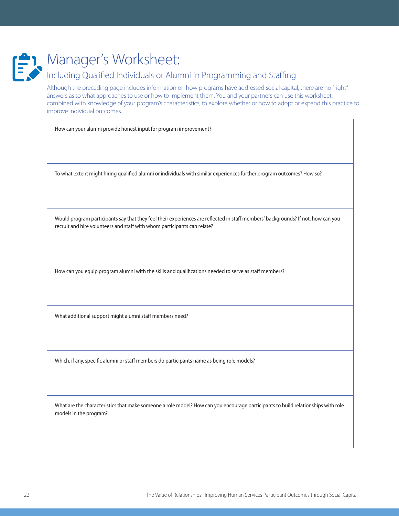

# Including Qualified Individuals or Alumni in Programming and Staffing

Although the preceding page includes information on how programs have addressed social capital, there are no "right" answers as to what approaches to use or how to implement them. You and your partners can use this worksheet, combined with knowledge of your program's characteristics, to explore whether or how to adopt or expand this practice to improve individual outcomes.

How can your alumni provide honest input for program improvement?

To what extent might hiring qualified alumni or individuals with similar experiences further program outcomes? How so?

Would program participants say that they feel their experiences are reflected in staff members' backgrounds? If not, how can you recruit and hire volunteers and staff with whom participants can relate?

How can you equip program alumni with the skills and qualifications needed to serve as staff members?

What additional support might alumni staff members need?

Which, if any, specific alumni or staff members do participants name as being role models?

What are the characteristics that make someone a role model? How can you encourage participants to build relationships with role models in the program?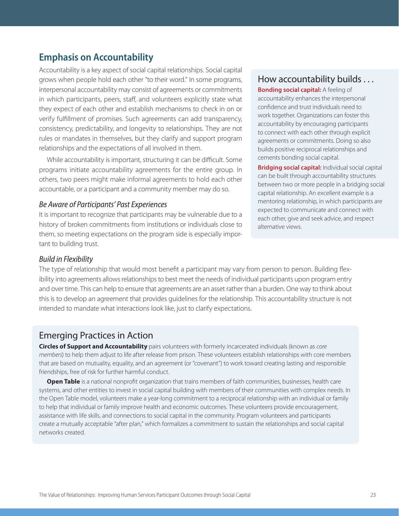## <span id="page-25-0"></span>**Emphasis on Accountability**

Accountability is a key aspect of social capital relationships. Social capital grows when people hold each other "to their word." In some programs, interpersonal accountability may consist of agreements or commitments in which participants, peers, staff, and volunteers explicitly state what they expect of each other and establish mechanisms to check in on or verify fulfillment of promises. Such agreements can add transparency, consistency, predictability, and longevity to relationships. They are not rules or mandates in themselves, but they clarify and support program relationships and the expectations of all involved in them.

While accountability is important, structuring it can be difficult. Some programs initiate accountability agreements for the entire group. In others, two peers might make informal agreements to hold each other accountable, or a participant and a community member may do so.

#### *Be Aware of Participants' Past Experiences*

It is important to recognize that participants may be vulnerable due to a history of broken commitments from institutions or individuals close to them, so meeting expectations on the program side is especially important to building trust.

#### How accountability builds . . .

**Bonding social capital:** A feeling of accountability enhances the interpersonal confidence and trust individuals need to work together. Organizations can foster this accountability by encouraging participants to connect with each other through explicit agreements or commitments. Doing so also builds positive reciprocal relationships and cements bonding social capital.

**Bridging social capital:** Individual social capital can be built through accountability structures between two or more people in a bridging social capital relationship. An excellent example is a mentoring relationship, in which participants are expected to communicate and connect with each other, give and seek advice, and respect alternative views.

#### *Build in Flexibility*

The type of relationship that would most benefit a participant may vary from person to person. Building flexibility into agreements allows relationships to best meet the needs of individual participants upon program entry and over time. This can help to ensure that agreements are an asset rather than a burden. One way to think about this is to develop an agreement that provides guidelines for the relationship. This accountability structure is not intended to mandate what interactions look like, just to clarify expectations.

#### Emerging Practices in Action

**Circles of Support and Accountability** pairs volunteers with formerly incarcerated individuals (known as *core members*) to help them adjust to life after release from prison. These volunteers establish relationships with core members that are based on mutuality, equality, and an agreement (or "covenant") to work toward creating lasting and responsible friendships, free of risk for further harmful conduct.

**Open Table** is a national nonprofit organization that trains members of faith communities, businesses, health care systems, and other entities to invest in social capital building with members of their communities with complex needs. In the Open Table model, volunteers make a year-long commitment to a reciprocal relationship with an individual or family to help that individual or family improve health and economic outcomes. These volunteers provide encouragement, assistance with life skills, and connections to social capital in the community. Program volunteers and participants create a mutually acceptable "after plan," which formalizes a commitment to sustain the relationships and social capital networks created.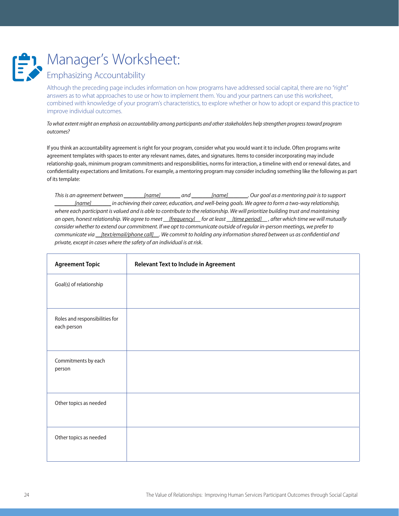

# Emphasizing Accountability

Although the preceding page includes information on how programs have addressed social capital, there are no "right" answers as to what approaches to use or how to implement them. You and your partners can use this worksheet, combined with knowledge of your program's characteristics, to explore whether or how to adopt or expand this practice to improve individual outcomes.

*To what extent might an emphasis on accountability among participants and other stakeholders help strengthen progress toward program outcomes?*

If you think an accountability agreement is right for your program, consider what you would want it to include. Often programs write agreement templates with spaces to enter any relevant names, dates, and signatures. Items to consider incorporating may include relationship goals, minimum program commitments and responsibilities, norms for interaction, a timeline with end or renewal dates, and confidentiality expectations and limitations. For example, a mentoring program may consider including something like the following as part of its template:

*This is an agreement between \_\_\_\_\_\_\_[name]\_\_\_\_\_\_\_ and \_\_\_\_\_\_\_[name]\_\_\_\_\_\_\_. Our goal as a mentoring pair is to support \_\_\_\_\_\_\_[name]\_\_\_\_\_\_\_ in achieving their career, education, and well-being goals. We agree to form a two-way relationship, where each participant is valued and is able to contribute to the relationship. We will prioritize building trust and maintaining an open, honest relationship. We agree to meet \_\_[frequency]\_\_ for at least \_\_[time period]\_\_ , after which time we will mutually consider whether to extend our commitment. If we opt to communicate outside of regular in-person meetings, we prefer to communicate via \_\_[text/email/phone call]\_\_. We commit to holding any information shared between us as confidential and private, except in cases where the safety of an individual is at risk.*

| <b>Agreement Topic</b>                        | <b>Relevant Text to Include in Agreement</b> |
|-----------------------------------------------|----------------------------------------------|
| Goal(s) of relationship                       |                                              |
| Roles and responsibilities for<br>each person |                                              |
| Commitments by each<br>person                 |                                              |
| Other topics as needed                        |                                              |
| Other topics as needed                        |                                              |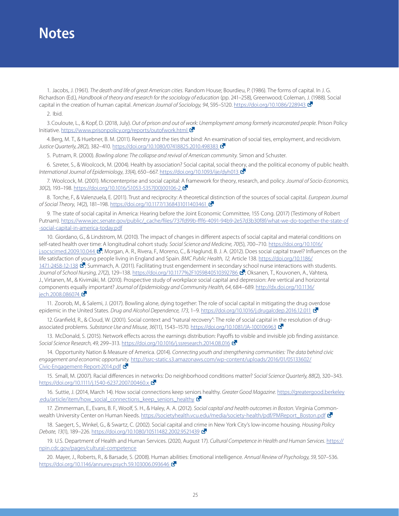# <span id="page-27-0"></span>**Notes**

1. Jacobs, J. (1961). *The death and life of great American cities.* Random House; Bourdieu, P. (1986). The forms of capital. In J. G. Richardson (Ed.), *Handbook of theory and research for the sociology of education* (pp. 241–258), Greenwood; Coleman, J. (1988). Social capital in the creation of human capital. *American Journal of Sociology, 94*, S95–S120.<https://doi.org/10.1086/228943>

2. Ibid.

3. Couloute, L., & Kopf, D. (2018, July). *Out of prison and out of work: Unemployment among formerly incarcerated people*. Prison Policy Initiative. <https://www.prisonpolicy.org/reports/outofwork.html>

4. Berg, M. T., & Huebner, B. M. (2011). Reentry and the ties that bind: An examination of social ties, employment, and recidivism. *Justice Quarterly*, *28*(2), 382–410. <https://doi.org/10.1080/07418825.2010.498383>

5. Putnam, R. (2000). *Bowling alone: The collapse and revival of American community.* Simon and Schuster.

6. Szreter, S., & Woolcock, M. (2004). Health by association? Social capital, social theory, and the political economy of public health. *International Journal of Epidemiology*, *33*(4), 650–667.<https://doi.org/10.1093/ije/dyh013>

7. Woolcock, M. (2001). Microenterprise and social capital: A framework for theory, research, and policy. *Journal of Socio-Economics, 30*(2), 193–198. [https://doi.org/10.1016/S1053-5357\(00\)00106-2](https://doi.org/10.1016/S1053-5357(00)00106-2)

8. Torche, F., & Valenzuela, E. (2011). Trust and reciprocity: A theoretical distinction of the sources of social capital. *European Journal of Social Theory*, *14*(2), 181–198.<https://doi.org/10.1177/1368431011403461>

9. The state of social capital in America: Hearing before the Joint Economic Committee, 155 Cong. (2017) (Testimony of Robert Putnam). [https://www.jec.senate.gov/public/\\_cache/files/737fd99b-fff6-4091-94b9-2e57d3b30f8f/what-we-do-together-the-state-of](https://www.jec.senate.gov/public/_cache/files/737fd99b-fff6-4091-94b9-2e57d3b30f8f/what-we-do-together-the-state-of-social-capital-in-america-today.pdf) [-social-capital-in-america-today.pdf](https://www.jec.senate.gov/public/_cache/files/737fd99b-fff6-4091-94b9-2e57d3b30f8f/what-we-do-together-the-state-of-social-capital-in-america-today.pdf)

10. Giordano, G., & Lindstrom, M. (2010). The impact of changes in different aspects of social capital and material conditions on self-rated health over time: A longitudinal cohort study. *Social Science and Medicine, 70*(5), 700–710. [https://doi.org/10.1016/](https://doi.org/10.1016/j.socscimed.2009.10.044) [j.socscimed.2009.10.044](https://doi.org/10.1016/j.socscimed.2009.10.044) **&**; Morgan, A. R., Rivera, F., Moreno, C., & Haglund, B. J. A. (2012). Does social capital travel? Influences on the life satisfaction of young people living in England and Spain. *BMC Public Health, 12,* Article 138. [https://doi.org/10.1186/](https://doi.org/10.1186/1471-2458-12-138) [1471-2458-12-138](https://doi.org/10.1186/1471-2458-12-138) (3"; Summarch, A. (2011). Facilitating trust engenderment in secondary school nurse interactions with students. Journal of School Nursing, 27(2), 129–138. [https://doi.org/10.1177%2F1059840510392786](https://doi.org/10.1177/1059840510392786) **&**; Oksanen, T., Kouvonen, A., Vahtera, J., Virtanen, M., & Kivimäki, M. (2010). Prospective study of workplace social capital and depression: Are vertical and horizontal components equally important? *Journal of Epidemiology and Community Health, 64*, 684–689. [http://dx.doi.org/10.1136/](http://dx.doi.org/10.1136/jech.2008.086074) jech.2008.086074

11. Zoorob, M., & Salemi, J. (2017). Bowling alone, dying together: The role of social capital in mitigating the drug overdose epidemic in the United States. *Drug and Alcohol Dependence, 173*, 1–9. <https://doi.org/10.1016/j.drugalcdep.2016.12.011>

12. Granfield, R., & Cloud, W. (2001). Social context and "natural recovery": The role of social capital in the resolution of drugassociated problems. *Substance Use and Misuse, 36*(11), 1543–1570. [https://doi.org/10.1081/JA-100106963](https://psycnet.apa.org/doi/10.1081/JA-100106963)

13. McDonald, S. (2015). Network effects across the earnings distribution: Payoffs to visible and invisible job finding assistance. *Social Science Research, 49*, 299–313. <https://doi.org/10.1016/j.ssresearch.2014.08.016>

14. Opportunity Nation & Measure of America. (2014). *Connecting youth and strengthening communities: The data behind civic engagement and economic opportunity.* [http://ssrc-static.s3.amazonaws.com/wp-content/uploads/2016/01/05133602/](http://ssrc-static.s3.amazonaws.com/wp-content/uploads/2016/01/05133602/Civic-Engagement-Report-2014.pdf) [Civic-Engagement-Report-2014.pdf](http://ssrc-static.s3.amazonaws.com/wp-content/uploads/2016/01/05133602/Civic-Engagement-Report-2014.pdf)

15. Small, M. (2007). Racial differences in networks: Do neighborhood conditions matter? *Social Science Quarterly, 88*(2), 320–343. <https://doi.org/10.1111/j.1540-6237.2007.00460.x>

16. Suttie, J. (2014, March 14). How social connections keep seniors healthy. *Greater Good Magazine*. [https://greatergood.berkeley](https://greatergood.berkeley.edu/article/item/how_social_connections_keep_seniors_healthy) [.edu/article/item/how\\_social\\_connections\\_keep\\_seniors\\_healthy](https://greatergood.berkeley.edu/article/item/how_social_connections_keep_seniors_healthy) $\mathbf{C}$ 

17. Zimmerman, E., Evans, B. F., Woolf, S. H., & Haley, A. A. (2012). *Social capital and health outcomes in Boston*. Virginia Commonwealth University Center on Human Needs. [https://societyhealth.vcu.edu/media/society-health/pdf/PMReport\\_Boston.pdf](https://societyhealth.vcu.edu/media/society-health/pdf/PMReport_Boston.pdf)

18. Saegert, S., Winkel, G., & Swartz, C. (2002). Social capital and crime in New York City's low‐income housing. *Housing Policy Debate, 13*(1), 189–226. <https://doi.org/10.1080/10511482.2002.9521439>

19. U.S. Department of Health and Human Services. (2020, August 17). *Cultural Competence in Health and Human Services*. [https://](https://npin.cdc.gov/pages/cultural-competence) [npin.cdc.gov/pages/cultural-competence](https://npin.cdc.gov/pages/cultural-competence)

20. Mayer, J., Roberts, R., & Barsade, S. (2008). Human abilities: Emotional intelligence. *Annual Review of Psychology, 59*, 507–536. https://doi.org/10.1146/annurev.psych.59.103006.093646